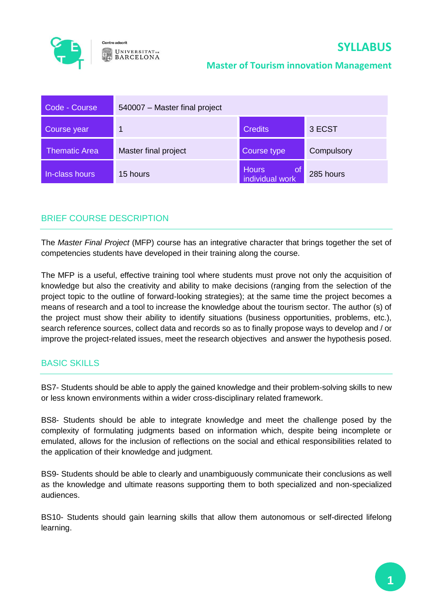

**UNIVERSITATDE BARCELONA** 

#### **Master of Tourism innovation Management**

| Code - Course        | 540007 - Master final project |                                   |            |
|----------------------|-------------------------------|-----------------------------------|------------|
| Course year          |                               | <b>Credits</b>                    | 3 ECST     |
| <b>Thematic Area</b> | Master final project          | Course type                       | Compulsory |
| In-class hours       | 15 hours                      | Hours<br>l ot,<br>individual work | 285 hours  |

# BRIEF COURSE DESCRIPTION

The *Master Final Project* (MFP) course has an integrative character that brings together the set of competencies students have developed in their training along the course.

The MFP is a useful, effective training tool where students must prove not only the acquisition of knowledge but also the creativity and ability to make decisions (ranging from the selection of the project topic to the outline of forward-looking strategies); at the same time the project becomes a means of research and a tool to increase the knowledge about the tourism sector. The author (s) of the project must show their ability to identify situations (business opportunities, problems, etc.), search reference sources, collect data and records so as to finally propose ways to develop and / or improve the project-related issues, meet the research objectives and answer the hypothesis posed.

## BASIC SKILLS

BS7- Students should be able to apply the gained knowledge and their problem-solving skills to new or less known environments within a wider cross-disciplinary related framework.

BS8- Students should be able to integrate knowledge and meet the challenge posed by the complexity of formulating judgments based on information which, despite being incomplete or emulated, allows for the inclusion of reflections on the social and ethical responsibilities related to the application of their knowledge and judgment.

BS9- Students should be able to clearly and unambiguously communicate their conclusions as well as the knowledge and ultimate reasons supporting them to both specialized and non-specialized audiences.

BS10- Students should gain learning skills that allow them autonomous or self-directed lifelong learning.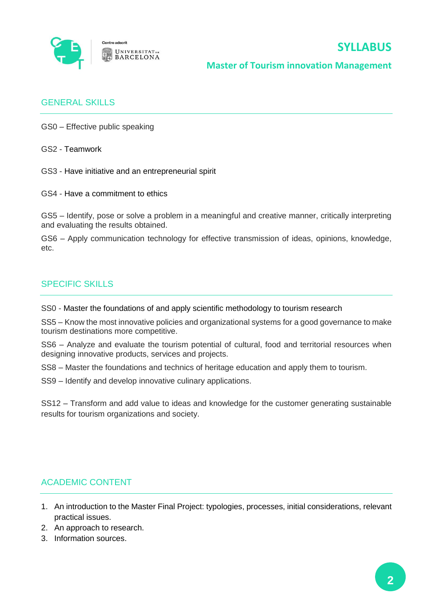

**Master of Tourism innovation Management**

## GENERAL SKILLS

GS0 – Effective public speaking

GS2 - Teamwork

GS3 - Have initiative and an entrepreneurial spirit

GS4 - Have a commitment to ethics

GS5 – Identify, pose or solve a problem in a meaningful and creative manner, critically interpreting and evaluating the results obtained.

GS6 – Apply communication technology for effective transmission of ideas, opinions, knowledge, etc.

#### SPECIFIC SKILLS

SS0 - Master the foundations of and apply scientific methodology to tourism research

SS5 – Know the most innovative policies and organizational systems for a good governance to make tourism destinations more competitive.

SS6 – Analyze and evaluate the tourism potential of cultural, food and territorial resources when designing innovative products, services and projects.

SS8 – Master the foundations and technics of heritage education and apply them to tourism.

SS9 – Identify and develop innovative culinary applications.

SS12 – Transform and add value to ideas and knowledge for the customer generating sustainable results for tourism organizations and society.

## ACADEMIC CONTENT

- 1. An introduction to the Master Final Project: typologies, processes, initial considerations, relevant practical issues.
- 2. An approach to research.
- 3. Information sources.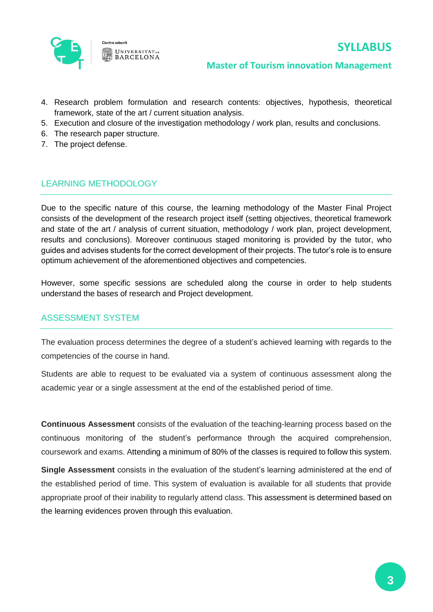

#### **Master of Tourism innovation Management**

- 4. Research problem formulation and research contents: objectives, hypothesis, theoretical framework, state of the art / current situation analysis.
- 5. Execution and closure of the investigation methodology / work plan, results and conclusions.
- 6. The research paper structure.
- 7. The project defense.

## LEARNING METHODOLOGY

Due to the specific nature of this course, the learning methodology of the Master Final Project consists of the development of the research project itself (setting objectives, theoretical framework and state of the art / analysis of current situation, methodology / work plan, project development, results and conclusions). Moreover continuous staged monitoring is provided by the tutor, who guides and advises students for the correct development of their projects. The tutor's role is to ensure optimum achievement of the aforementioned objectives and competencies.

However, some specific sessions are scheduled along the course in order to help students understand the bases of research and Project development.

#### ASSESSMENT SYSTEM

The evaluation process determines the degree of a student's achieved learning with regards to the competencies of the course in hand.

Students are able to request to be evaluated via a system of continuous assessment along the academic year or a single assessment at the end of the established period of time.

**Continuous Assessment** consists of the evaluation of the teaching-learning process based on the continuous monitoring of the student's performance through the acquired comprehension, coursework and exams. Attending a minimum of 80% of the classes is required to follow this system.

**Single Assessment** consists in the evaluation of the student's learning administered at the end of the established period of time. This system of evaluation is available for all students that provide appropriate proof of their inability to regularly attend class. This assessment is determined based on the learning evidences proven through this evaluation.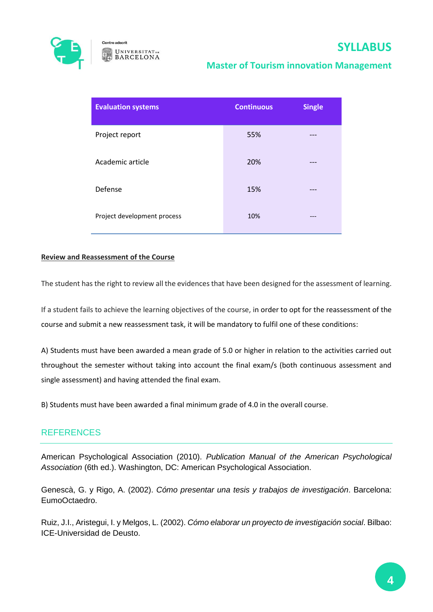

## **Master of Tourism innovation Management**

| <b>Evaluation systems</b>   | <b>Continuous</b> | <b>Single</b> |
|-----------------------------|-------------------|---------------|
| Project report              | 55%               |               |
| Academic article            | 20%               |               |
| Defense                     | 15%               |               |
| Project development process | 10%               | ---           |

#### **Review and Reassessment of the Course**

The student has the right to review all the evidences that have been designed for the assessment of learning.

If a student fails to achieve the learning objectives of the course, in order to opt for the reassessment of the course and submit a new reassessment task, it will be mandatory to fulfil one of these conditions:

A) Students must have been awarded a mean grade of 5.0 or higher in relation to the activities carried out throughout the semester without taking into account the final exam/s (both continuous assessment and single assessment) and having attended the final exam.

B) Students must have been awarded a final minimum grade of 4.0 in the overall course.

## **REFERENCES**

American Psychological Association (2010). *Publication Manual of the American Psychological Association* (6th ed.). Washington, DC: American Psychological Association.

Genescà, G. y Rigo, A. (2002). *Cómo presentar una tesis y trabajos de investigación*. Barcelona: EumoOctaedro.

Ruiz, J.I., Aristegui, I. y Melgos, L. (2002). *Cómo elaborar un proyecto de investigación social*. Bilbao: ICE-Universidad de Deusto.